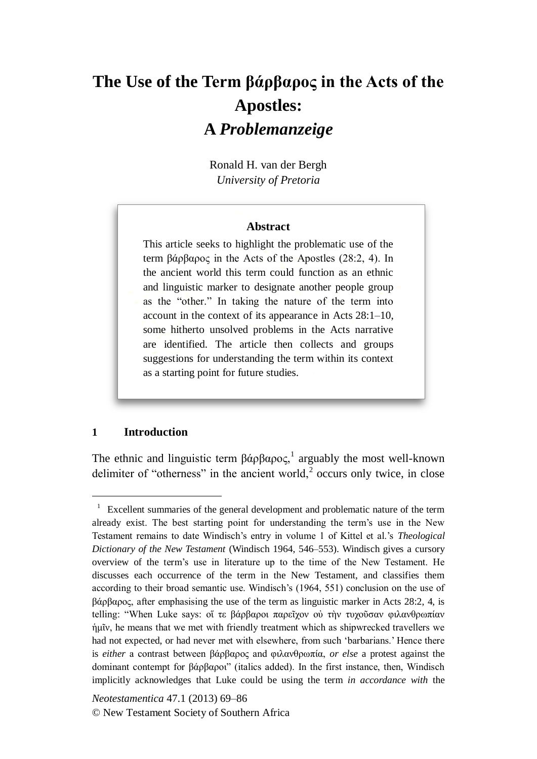# **The Use of the Term βάρβαρος in the Acts of the Apostles: A** *Problemanzeige*

Ronald H. van der Bergh *University of Pretoria*

#### **Abstract**

This article seeks to highlight the problematic use of the term βάρβαρος in the Acts of the Apostles (28:2, 4). In the ancient world this term could function as an ethnic and linguistic marker to designate another people group as the "other." In taking the nature of the term into account in the context of its appearance in Acts 28:1–10, some hitherto unsolved problems in the Acts narrative are identified. The article then collects and groups suggestions for understanding the term within its context as a starting point for future studies.

#### **1 Introduction**

<u>.</u>

The ethnic and linguistic term  $\beta \alpha \beta \alpha \rho \alpha \varsigma$ ,<sup>1</sup> arguably the most well-known delimiter of "otherness" in the ancient world, $2$  occurs only twice, in close

<sup>&</sup>lt;sup>1</sup> Excellent summaries of the general development and problematic nature of the term already exist. The best starting point for understanding the term's use in the New Testament remains to date Windisch's entry in volume 1 of Kittel et al.'s *Theological Dictionary of the New Testament* (Windisch 1964, 546–553). Windisch gives a cursory overview of the term's use in literature up to the time of the New Testament. He discusses each occurrence of the term in the New Testament, and classifies them according to their broad semantic use. Windisch's (1964, 551) conclusion on the use of βάρβαρος, after emphasising the use of the term as linguistic marker in Acts 28:2, 4, is telling: "When Luke says: οἵ τε βάρβαροι παρεῖχον οὐ τὴν τυχοῦσαν φιλανθρωπίαν ἡμῖν, he means that we met with friendly treatment which as shipwrecked travellers we had not expected, or had never met with elsewhere, from such 'barbarians.' Hence there is *either* a contrast between βάρβαρος and φιλανθρωπία, *or else* a protest against the dominant contempt for βάρβαροι" (italics added). In the first instance, then, Windisch implicitly acknowledges that Luke could be using the term *in accordance with* the

*Neotestamentica* 47.1 (2013) 69–86 © New Testament Society of Southern Africa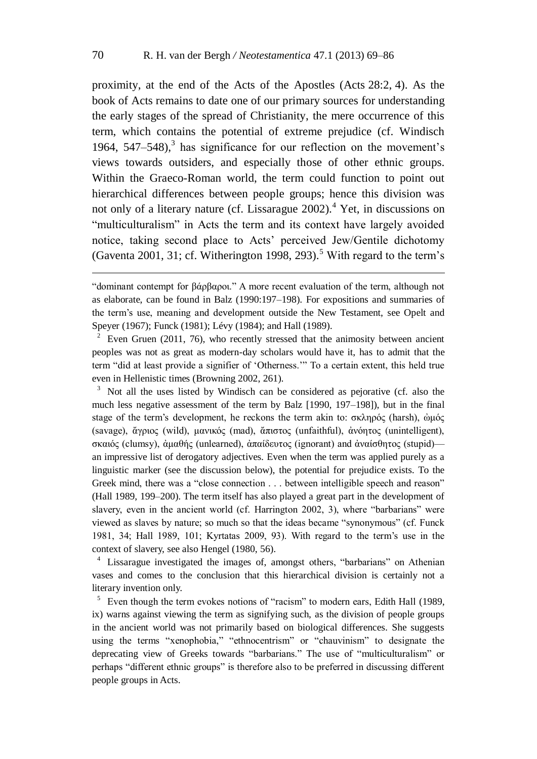proximity, at the end of the Acts of the Apostles (Acts 28:2, 4). As the book of Acts remains to date one of our primary sources for understanding the early stages of the spread of Christianity, the mere occurrence of this term, which contains the potential of extreme prejudice (cf. Windisch 1964,  $547-548$ , has significance for our reflection on the movement's views towards outsiders, and especially those of other ethnic groups. Within the Graeco-Roman world, the term could function to point out hierarchical differences between people groups; hence this division was not only of a literary nature (cf. Lissarague  $2002$ ).<sup>4</sup> Yet, in discussions on "multiculturalism" in Acts the term and its context have largely avoided notice, taking second place to Acts' perceived Jew/Gentile dichotomy (Gaventa 2001, 31; cf. Witherington 1998, 293).<sup>5</sup> With regard to the term's

<u>.</u>

Even Gruen (2011, 76), who recently stressed that the animosity between ancient peoples was not as great as modern-day scholars would have it, has to admit that the term "did at least provide a signifier of 'Otherness.'" To a certain extent, this held true even in Hellenistic times (Browning 2002, 261).

<sup>3</sup> Not all the uses listed by Windisch can be considered as pejorative (cf. also the much less negative assessment of the term by Balz [1990, 197–198]), but in the final stage of the term's development, he reckons the term akin to: σκληρός (harsh), ομός (savage), ἄγριος (wild), μανικός (mad), ἄπιστος (unfaithful), ἀνόητος (unintelligent), σκαιός (clumsy), ἀμαθής (unlearned), ἀπαίδευτος (ignorant) and ἀναίσθητος (stupid) an impressive list of derogatory adjectives. Even when the term was applied purely as a linguistic marker (see the discussion below), the potential for prejudice exists. To the Greek mind, there was a "close connection . . . between intelligible speech and reason" (Hall 1989, 199–200). The term itself has also played a great part in the development of slavery, even in the ancient world (cf. Harrington 2002, 3), where "barbarians" were viewed as slaves by nature; so much so that the ideas became "synonymous" (cf. Funck 1981, 34; Hall 1989, 101; Kyrtatas 2009, 93). With regard to the term's use in the context of slavery, see also Hengel (1980, 56).

<sup>4</sup> Lissarague investigated the images of, amongst others, "barbarians" on Athenian vases and comes to the conclusion that this hierarchical division is certainly not a literary invention only.

<sup>5</sup> Even though the term evokes notions of "racism" to modern ears, Edith Hall (1989, ix) warns against viewing the term as signifying such, as the division of people groups in the ancient world was not primarily based on biological differences. She suggests using the terms "xenophobia," "ethnocentrism" or "chauvinism" to designate the deprecating view of Greeks towards "barbarians." The use of "multiculturalism" or perhaps "different ethnic groups" is therefore also to be preferred in discussing different people groups in Acts.

<sup>&</sup>quot;dominant contempt for βάρβαροι." A more recent evaluation of the term, although not as elaborate, can be found in Balz (1990:197–198). For expositions and summaries of the term's use, meaning and development outside the New Testament, see Opelt and Speyer (1967); Funck (1981); Lévy (1984); and Hall (1989).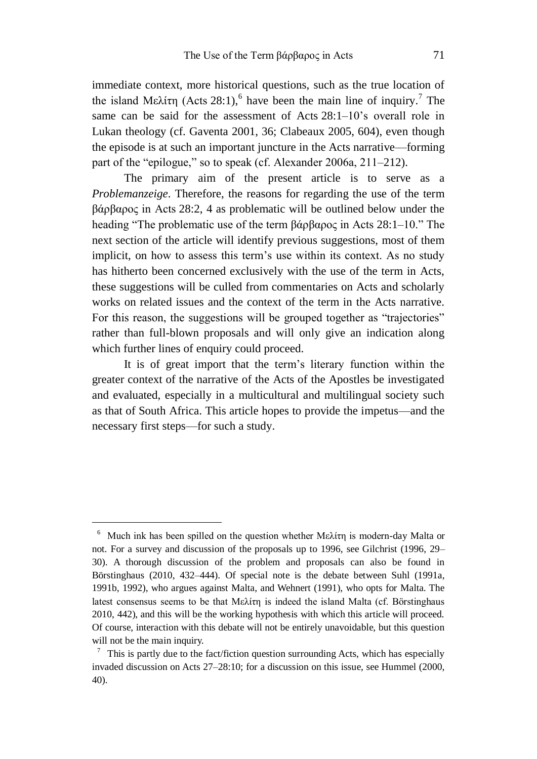immediate context, more historical questions, such as the true location of the island Μελίτη (Acts 28:1),<sup>6</sup> have been the main line of inquiry.<sup>7</sup> The same can be said for the assessment of Acts 28:1–10's overall role in Lukan theology (cf. Gaventa 2001, 36; Clabeaux 2005, 604), even though the episode is at such an important juncture in the Acts narrative—forming part of the "epilogue," so to speak (cf. Alexander 2006a, 211–212).

The primary aim of the present article is to serve as a *Problemanzeige*. Therefore, the reasons for regarding the use of the term βάρβαρος in Acts 28:2, 4 as problematic will be outlined below under the heading "The problematic use of the term βάρβαρος in Acts 28:1–10." The next section of the article will identify previous suggestions, most of them implicit, on how to assess this term's use within its context. As no study has hitherto been concerned exclusively with the use of the term in Acts, these suggestions will be culled from commentaries on Acts and scholarly works on related issues and the context of the term in the Acts narrative. For this reason, the suggestions will be grouped together as "trajectories" rather than full-blown proposals and will only give an indication along which further lines of enquiry could proceed.

It is of great import that the term's literary function within the greater context of the narrative of the Acts of the Apostles be investigated and evaluated, especially in a multicultural and multilingual society such as that of South Africa. This article hopes to provide the impetus—and the necessary first steps—for such a study.

<sup>6</sup> Much ink has been spilled on the question whether Μελίτη is modern-day Malta or not. For a survey and discussion of the proposals up to 1996, see Gilchrist (1996, 29– 30). A thorough discussion of the problem and proposals can also be found in Börstinghaus (2010, 432–444). Of special note is the debate between Suhl (1991a, 1991b, 1992), who argues against Malta, and Wehnert (1991), who opts for Malta. The latest consensus seems to be that Μελίτη is indeed the island Malta (cf. Börstinghaus 2010, 442), and this will be the working hypothesis with which this article will proceed. Of course, interaction with this debate will not be entirely unavoidable, but this question will not be the main inquiry.

 $\frac{7}{1}$  This is partly due to the fact/fiction question surrounding Acts, which has especially invaded discussion on Acts 27–28:10; for a discussion on this issue, see Hummel (2000, 40).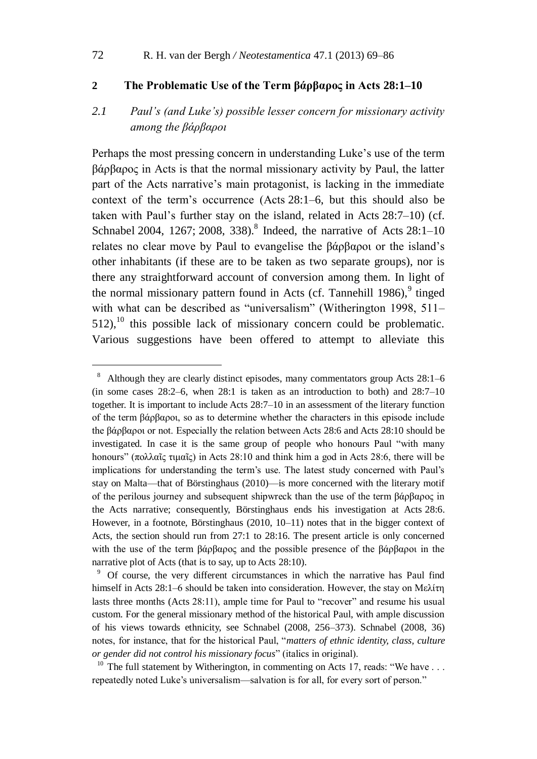#### **2 The Problematic Use of the Term βάρβαρος in Acts 28:1–10**

## *2.1 Paul's (and Luke's) possible lesser concern for missionary activity among the βάρβαροι*

Perhaps the most pressing concern in understanding Luke's use of the term βάρβαρος in Acts is that the normal missionary activity by Paul, the latter part of the Acts narrative's main protagonist, is lacking in the immediate context of the term's occurrence (Acts 28:1–6, but this should also be taken with Paul's further stay on the island, related in Acts 28:7–10) (cf. Schnabel 2004, 1267; 2008, 338).<sup>8</sup> Indeed, the narrative of Acts 28:1-10 relates no clear move by Paul to evangelise the βάρβαροι or the island's other inhabitants (if these are to be taken as two separate groups), nor is there any straightforward account of conversion among them. In light of the normal missionary pattern found in Acts (cf. Tannehill  $1986$ ),  $9$  tinged with what can be described as "universalism" (Witherington 1998, 511–  $512$ ),<sup>10</sup> this possible lack of missionary concern could be problematic. Various suggestions have been offered to attempt to alleviate this

1

<sup>8</sup> Although they are clearly distinct episodes, many commentators group Acts 28:1–6 (in some cases  $28:2-6$ , when  $28:1$  is taken as an introduction to both) and  $28:7-10$ together. It is important to include Acts 28:7–10 in an assessment of the literary function of the term βάρβαροι, so as to determine whether the characters in this episode include the βάρβαροι or not. Especially the relation between Acts 28:6 and Acts 28:10 should be investigated. In case it is the same group of people who honours Paul "with many honours" (πολλαῖς τιμαῖς) in Acts 28:10 and think him a god in Acts 28:6, there will be implications for understanding the term's use. The latest study concerned with Paul's stay on Malta—that of Börstinghaus (2010)—is more concerned with the literary motif of the perilous journey and subsequent shipwreck than the use of the term βάρβαρος in the Acts narrative; consequently, Börstinghaus ends his investigation at Acts 28:6. However, in a footnote, Börstinghaus (2010, 10–11) notes that in the bigger context of Acts, the section should run from 27:1 to 28:16. The present article is only concerned with the use of the term βάρβαρος and the possible presence of the βάρβαροι in the narrative plot of Acts (that is to say, up to Acts 28:10).

<sup>&</sup>lt;sup>9</sup> Of course, the very different circumstances in which the narrative has Paul find himself in Acts 28:1–6 should be taken into consideration. However, the stay on Μελίτη lasts three months (Acts 28:11), ample time for Paul to "recover" and resume his usual custom. For the general missionary method of the historical Paul, with ample discussion of his views towards ethnicity, see Schnabel (2008, 256–373). Schnabel (2008, 36) notes, for instance, that for the historical Paul, "*matters of ethnic identity, class, culture or gender did not control his missionary focus*" (italics in original).

<sup>&</sup>lt;sup>10</sup> The full statement by Witherington, in commenting on Acts 17, reads: "We have ... repeatedly noted Luke's universalism—salvation is for all, for every sort of person."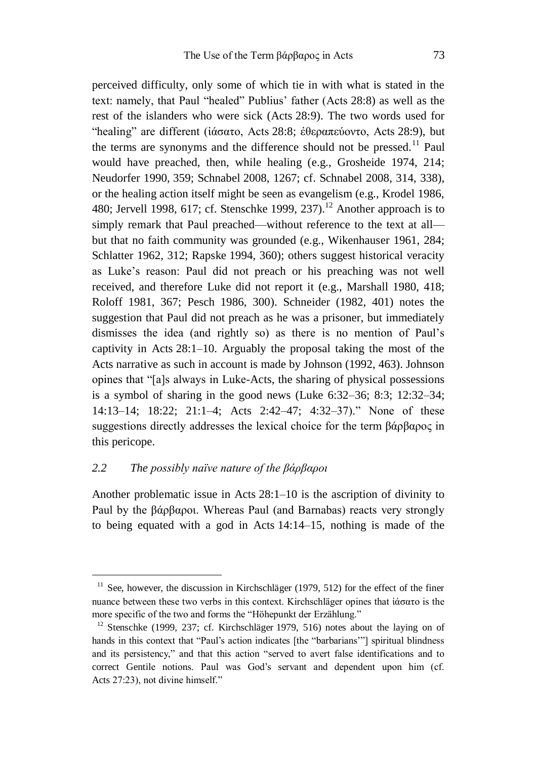perceived difficulty, only some of which tie in with what is stated in the text: namely, that Paul "healed" Publius' father (Acts 28:8) as well as the rest of the islanders who were sick (Acts 28:9). The two words used for "healing" are different (ἰάσατο, Acts 28:8; ἐθεραπεύοντο, Acts 28:9), but the terms are synonyms and the difference should not be pressed.<sup>11</sup> Paul would have preached, then, while healing (e.g., Grosheide 1974, 214; Neudorfer 1990, 359; Schnabel 2008, 1267; cf. Schnabel 2008, 314, 338), or the healing action itself might be seen as evangelism (e.g., Krodel 1986, 480; Jervell 1998, 617; cf. Stenschke 1999, 237).<sup>12</sup> Another approach is to simply remark that Paul preached—without reference to the text at all but that no faith community was grounded (e.g., Wikenhauser 1961, 284; Schlatter 1962, 312; Rapske 1994, 360); others suggest historical veracity as Luke's reason: Paul did not preach or his preaching was not well received, and therefore Luke did not report it (e.g., Marshall 1980, 418; Roloff 1981, 367; Pesch 1986, 300). Schneider (1982, 401) notes the suggestion that Paul did not preach as he was a prisoner, but immediately dismisses the idea (and rightly so) as there is no mention of Paul's captivity in Acts 28:1–10. Arguably the proposal taking the most of the Acts narrative as such in account is made by Johnson (1992, 463). Johnson opines that "[a]s always in Luke-Acts, the sharing of physical possessions is a symbol of sharing in the good news (Luke 6:32–36; 8:3; 12:32–34; 14:13–14; 18:22; 21:1–4; Acts 2:42–47; 4:32–37)." None of these suggestions directly addresses the lexical choice for the term βάρβαρος in this pericope.

## *2.2 The possibly naïve nature of the βάρβαροι*

1

Another problematic issue in Acts 28:1–10 is the ascription of divinity to Paul by the βάρβαροι. Whereas Paul (and Barnabas) reacts very strongly to being equated with a god in Acts 14:14–15, nothing is made of the

<sup>&</sup>lt;sup>11</sup> See, however, the discussion in Kirchschläger (1979, 512) for the effect of the finer nuance between these two verbs in this context. Kirchschläger opines that ἰάσατο is the more specific of the two and forms the "Höhepunkt der Erzählung."

<sup>&</sup>lt;sup>12</sup> Stenschke (1999, 237; cf. Kirchschläger 1979, 516) notes about the laying on of hands in this context that "Paul's action indicates [the "barbarians'"] spiritual blindness and its persistency," and that this action "served to avert false identifications and to correct Gentile notions. Paul was God's servant and dependent upon him (cf. Acts 27:23), not divine himself."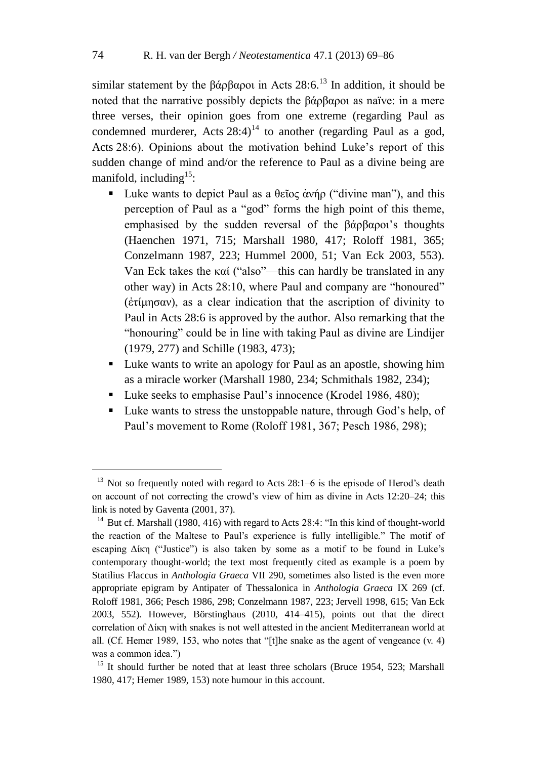similar statement by the βάρβαροι in Acts  $28:6$ <sup>13</sup> In addition, it should be noted that the narrative possibly depicts the βάρβαροι as naïve: in a mere three verses, their opinion goes from one extreme (regarding Paul as condemned murderer, Acts  $28:4$ <sup>14</sup> to another (regarding Paul as a god, Acts 28:6). Opinions about the motivation behind Luke's report of this sudden change of mind and/or the reference to Paul as a divine being are manifold, including<sup>15</sup>:

- Luke wants to depict Paul as a θεῖος ἀνήρ ("divine man"), and this perception of Paul as a "god" forms the high point of this theme, emphasised by the sudden reversal of the βάρβαροι's thoughts (Haenchen 1971, 715; Marshall 1980, 417; Roloff 1981, 365; Conzelmann 1987, 223; Hummel 2000, 51; Van Eck 2003, 553). Van Eck takes the καί ("also"—this can hardly be translated in any other way) in Acts 28:10, where Paul and company are "honoured" (ἐτίμησαν), as a clear indication that the ascription of divinity to Paul in Acts 28:6 is approved by the author. Also remarking that the "honouring" could be in line with taking Paul as divine are Lindijer (1979, 277) and Schille (1983, 473);
- Luke wants to write an apology for Paul as an apostle, showing him as a miracle worker (Marshall 1980, 234; Schmithals 1982, 234);
- Luke seeks to emphasise Paul's innocence (Krodel 1986, 480);
- Luke wants to stress the unstoppable nature, through God's help, of Paul's movement to Rome (Roloff 1981, 367; Pesch 1986, 298);

 $13$  Not so frequently noted with regard to Acts 28:1–6 is the episode of Herod's death on account of not correcting the crowd's view of him as divine in Acts 12:20–24; this link is noted by Gaventa (2001, 37).

<sup>&</sup>lt;sup>14</sup> But cf. Marshall (1980, 416) with regard to Acts 28:4: "In this kind of thought-world the reaction of the Maltese to Paul's experience is fully intelligible." The motif of escaping Δίκη ("Justice") is also taken by some as a motif to be found in Luke's contemporary thought-world; the text most frequently cited as example is a poem by Statilius Flaccus in *Anthologia Graeca* VII 290, sometimes also listed is the even more appropriate epigram by Antipater of Thessalonica in *Anthologia Graeca* IX 269 (cf. Roloff 1981, 366; Pesch 1986, 298; Conzelmann 1987, 223; Jervell 1998, 615; Van Eck 2003, 552). However, Börstinghaus (2010, 414–415), points out that the direct correlation of Δίκη with snakes is not well attested in the ancient Mediterranean world at all. (Cf. Hemer 1989, 153, who notes that "[t]he snake as the agent of vengeance (v. 4) was a common idea.")

<sup>&</sup>lt;sup>15</sup> It should further be noted that at least three scholars (Bruce 1954, 523; Marshall 1980, 417; Hemer 1989, 153) note humour in this account.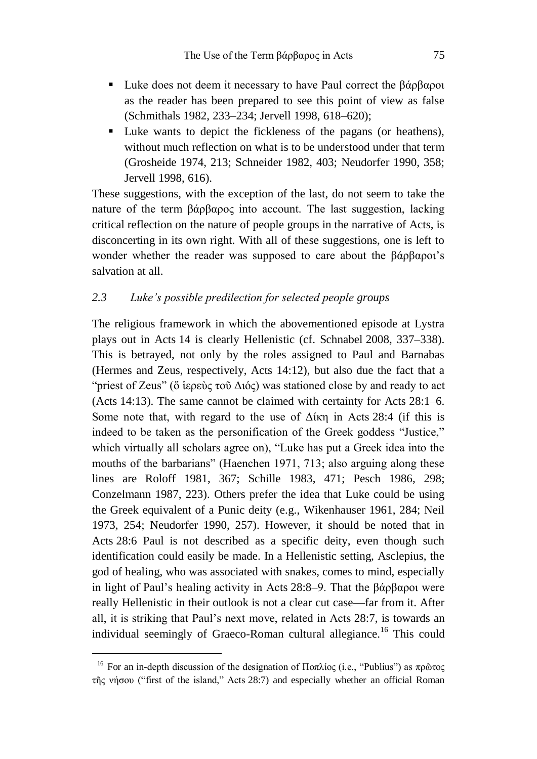- Luke does not deem it necessary to have Paul correct the βάρβαροι as the reader has been prepared to see this point of view as false (Schmithals 1982, 233–234; Jervell 1998, 618–620);
- Luke wants to depict the fickleness of the pagans (or heathens), without much reflection on what is to be understood under that term (Grosheide 1974, 213; Schneider 1982, 403; Neudorfer 1990, 358; Jervell 1998, 616).

These suggestions, with the exception of the last, do not seem to take the nature of the term βάρβαρος into account. The last suggestion, lacking critical reflection on the nature of people groups in the narrative of Acts, is disconcerting in its own right. With all of these suggestions, one is left to wonder whether the reader was supposed to care about the βάρβαροι's salvation at all.

## *2.3 Luke's possible predilection for selected people groups*

The religious framework in which the abovementioned episode at Lystra plays out in Acts 14 is clearly Hellenistic (cf. Schnabel 2008, 337–338). This is betrayed, not only by the roles assigned to Paul and Barnabas (Hermes and Zeus, respectively, Acts 14:12), but also due the fact that a "priest of Zeus" (ὅ ἱερεὺς τοῦ Διός) was stationed close by and ready to act (Acts 14:13). The same cannot be claimed with certainty for Acts 28:1–6. Some note that, with regard to the use of  $\Delta$ ίκη in Acts 28:4 (if this is indeed to be taken as the personification of the Greek goddess "Justice," which virtually all scholars agree on), "Luke has put a Greek idea into the mouths of the barbarians" (Haenchen 1971, 713; also arguing along these lines are Roloff 1981, 367; Schille 1983, 471; Pesch 1986, 298; Conzelmann 1987, 223). Others prefer the idea that Luke could be using the Greek equivalent of a Punic deity (e.g., Wikenhauser 1961, 284; Neil 1973, 254; Neudorfer 1990, 257). However, it should be noted that in Acts 28:6 Paul is not described as a specific deity, even though such identification could easily be made. In a Hellenistic setting, Asclepius, the god of healing, who was associated with snakes, comes to mind, especially in light of Paul's healing activity in Acts 28:8–9. That the βάρβαροι were really Hellenistic in their outlook is not a clear cut case—far from it. After all, it is striking that Paul's next move, related in Acts 28:7, is towards an individual seemingly of Graeco-Roman cultural allegiance.<sup>16</sup> This could

<sup>&</sup>lt;sup>16</sup> For an in-depth discussion of the designation of Ποπλίος (i.e., "Publius") as πρῶτος τῆς νήσου ("first of the island," Acts 28:7) and especially whether an official Roman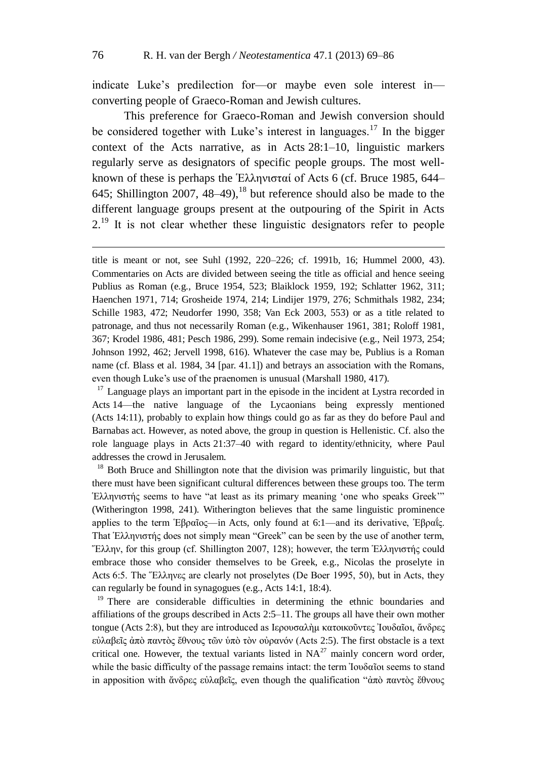1

indicate Luke's predilection for—or maybe even sole interest in converting people of Graeco-Roman and Jewish cultures.

This preference for Graeco-Roman and Jewish conversion should be considered together with Luke's interest in languages.<sup>17</sup> In the bigger context of the Acts narrative, as in Acts 28:1–10, linguistic markers regularly serve as designators of specific people groups. The most wellknown of these is perhaps the Ἑλληνισταί of Acts 6 (cf. Bruce 1985, 644– 645; Shillington 2007, 48–49), <sup>18</sup> but reference should also be made to the different language groups present at the outpouring of the Spirit in Acts  $2<sup>19</sup>$  It is not clear whether these linguistic designators refer to people

 $17$  Language plays an important part in the episode in the incident at Lystra recorded in Acts 14—the native language of the Lycaonians being expressly mentioned (Acts 14:11), probably to explain how things could go as far as they do before Paul and Barnabas act. However, as noted above, the group in question is Hellenistic. Cf. also the role language plays in Acts 21:37–40 with regard to identity/ethnicity, where Paul addresses the crowd in Jerusalem.

<sup>18</sup> Both Bruce and Shillington note that the division was primarily linguistic, but that there must have been significant cultural differences between these groups too. The term Ἑλληνιστής seems to have "at least as its primary meaning 'one who speaks Greek'" (Witherington 1998, 241). Witherington believes that the same linguistic prominence applies to the term Ἑβραῖος—in Acts, only found at 6:1—and its derivative, Ἑβραΐς. That Ἑλληνιστής does not simply mean "Greek" can be seen by the use of another term, Ἕλλην, for this group (cf. Shillington 2007, 128); however, the term Ἑλληνιστής could embrace those who consider themselves to be Greek, e.g., Nicolas the proselyte in Acts 6:5. The Ἕλληνες are clearly not proselytes (De Boer 1995, 50), but in Acts, they can regularly be found in synagogues (e.g., Acts 14:1, 18:4).

<sup>19</sup> There are considerable difficulties in determining the ethnic boundaries and affiliations of the groups described in Acts 2:5–11. The groups all have their own mother tongue (Acts 2:8), but they are introduced as Ιερουσαλὴμ κατοικοῦντες Ἰουδαῖοι, ἄνδρες εὐλαβεῖς ἀπὸ παντὸς ἔθνους τῶν ὑπὸ τὸν οὐρανόν (Acts 2:5). The first obstacle is a text critical one. However, the textual variants listed in  $NA^{27}$  mainly concern word order, while the basic difficulty of the passage remains intact: the term Ἰουδαῖοι seems to stand in apposition with ἄνδρες εὐλαβεῖς, even though the qualification "ἀπὸ παντὸς ἔθνους

title is meant or not, see Suhl (1992, 220–226; cf. 1991b, 16; Hummel 2000, 43). Commentaries on Acts are divided between seeing the title as official and hence seeing Publius as Roman (e.g., Bruce 1954, 523; Blaiklock 1959, 192; Schlatter 1962, 311; Haenchen 1971, 714; Grosheide 1974, 214; Lindijer 1979, 276; Schmithals 1982, 234; Schille 1983, 472; Neudorfer 1990, 358; Van Eck 2003, 553) or as a title related to patronage, and thus not necessarily Roman (e.g., Wikenhauser 1961, 381; Roloff 1981, 367; Krodel 1986, 481; Pesch 1986, 299). Some remain indecisive (e.g., Neil 1973, 254; Johnson 1992, 462; Jervell 1998, 616). Whatever the case may be, Publius is a Roman name (cf. Blass et al. 1984, 34 [par. 41.1]) and betrays an association with the Romans, even though Luke's use of the praenomen is unusual (Marshall 1980, 417).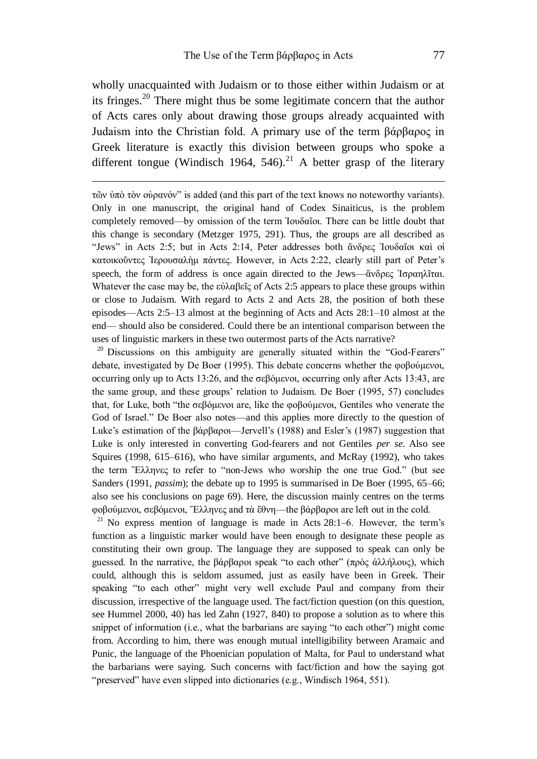wholly unacquainted with Judaism or to those either within Judaism or at its fringes.<sup>20</sup> There might thus be some legitimate concern that the author of Acts cares only about drawing those groups already acquainted with Judaism into the Christian fold. A primary use of the term βάρβαρος in Greek literature is exactly this division between groups who spoke a different tongue (Windisch 1964, 546).<sup>21</sup> A better grasp of the literary

1

τῶν ὑπὸ τὸν οὐρανόν" is added (and this part of the text knows no noteworthy variants). Only in one manuscript, the original hand of Codex Sinaiticus, is the problem completely removed—by omission of the term Ἰουδαῖοι. There can be little doubt that this change is secondary (Metzger 1975, 291). Thus, the groups are all described as "Jews" in Acts 2:5; but in Acts 2:14, Peter addresses both ἄνδρες Ἰουδαῖοι καὶ οἱ κατοικοῦντες Ἰερουσαλὴμ πάντες. However, in Acts 2:22, clearly still part of Peter's speech, the form of address is once again directed to the Jews—ἄνδρες Ἰσραηλῖται. Whatever the case may be, the εὐλαβεῖς of Acts 2:5 appears to place these groups within or close to Judaism. With regard to Acts 2 and Acts 28, the position of both these episodes—Acts 2:5–13 almost at the beginning of Acts and Acts 28:1–10 almost at the end— should also be considered. Could there be an intentional comparison between the uses of linguistic markers in these two outermost parts of the Acts narrative?

 $20$  Discussions on this ambiguity are generally situated within the "God-Fearers" debate, investigated by De Boer (1995). This debate concerns whether the φοβούμενοι, occurring only up to Acts 13:26, and the σεβόμενοι, occurring only after Acts 13:43, are the same group, and these groups' relation to Judaism. De Boer (1995, 57) concludes that, for Luke, both "the σεβόμενοι are, like the φοβούμενοι, Gentiles who venerate the God of Israel." De Boer also notes—and this applies more directly to the question of Luke's estimation of the βάρβαροι—Jervell's (1988) and Esler's (1987) suggestion that Luke is only interested in converting God-fearers and not Gentiles *per se*. Also see Squires (1998, 615–616), who have similar arguments, and McRay (1992), who takes the term Ἕλληνες to refer to "non-Jews who worship the one true God." (but see Sanders (1991, *passim*); the debate up to 1995 is summarised in De Boer (1995, 65–66; also see his conclusions on page 69). Here, the discussion mainly centres on the terms φοβούμενοι, σεβόμενοι, Ἕλληνες and τὰ ἔθνη—the βάρβαροι are left out in the cold.

<sup>21</sup> No express mention of language is made in Acts  $28:1-6$ . However, the term's function as a linguistic marker would have been enough to designate these people as constituting their own group. The language they are supposed to speak can only be guessed. In the narrative, the βάρβαροι speak "to each other" (πρὸς ἀλλήλους), which could, although this is seldom assumed, just as easily have been in Greek. Their speaking "to each other" might very well exclude Paul and company from their discussion, irrespective of the language used. The fact/fiction question (on this question, see Hummel 2000, 40) has led Zahn (1927, 840) to propose a solution as to where this snippet of information (i.e., what the barbarians are saying "to each other") might come from. According to him, there was enough mutual intelligibility between Aramaic and Punic, the language of the Phoenician population of Malta, for Paul to understand what the barbarians were saying. Such concerns with fact/fiction and how the saying got "preserved" have even slipped into dictionaries (e.g., Windisch 1964, 551).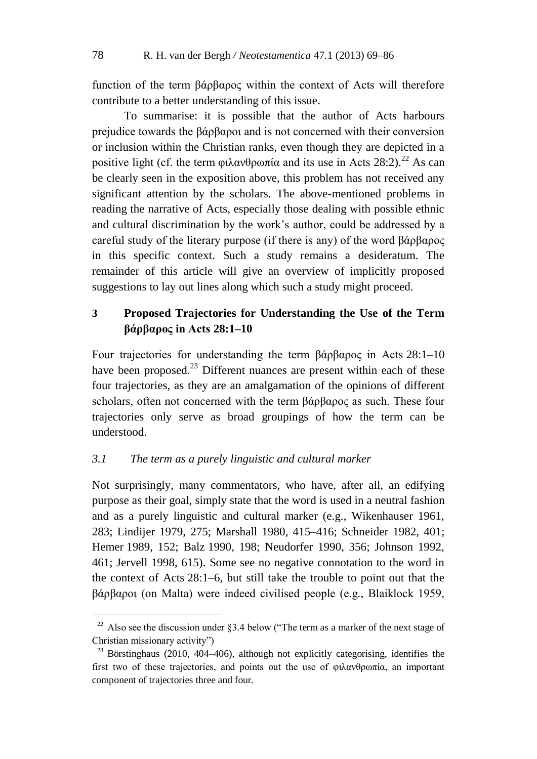function of the term βάρβαρος within the context of Acts will therefore contribute to a better understanding of this issue.

To summarise: it is possible that the author of Acts harbours prejudice towards the βάρβαροι and is not concerned with their conversion or inclusion within the Christian ranks, even though they are depicted in a positive light (cf. the term  $\omega \alpha \nu \theta \rho \omega \pi i \alpha$  and its use in Acts 28:2).<sup>22</sup> As can be clearly seen in the exposition above, this problem has not received any significant attention by the scholars. The above-mentioned problems in reading the narrative of Acts, especially those dealing with possible ethnic and cultural discrimination by the work's author, could be addressed by a careful study of the literary purpose (if there is any) of the word βάρβαρος in this specific context. Such a study remains a desideratum. The remainder of this article will give an overview of implicitly proposed suggestions to lay out lines along which such a study might proceed.

## **3 Proposed Trajectories for Understanding the Use of the Term βάρβαρος in Acts 28:1–10**

Four trajectories for understanding the term βάρβαρος in Acts 28:1–10 have been proposed.<sup>23</sup> Different nuances are present within each of these four trajectories, as they are an amalgamation of the opinions of different scholars, often not concerned with the term βάρβαρος as such. These four trajectories only serve as broad groupings of how the term can be understood.

## *3.1 The term as a purely linguistic and cultural marker*

1

Not surprisingly, many commentators, who have, after all, an edifying purpose as their goal, simply state that the word is used in a neutral fashion and as a purely linguistic and cultural marker (e.g., Wikenhauser 1961, 283; Lindijer 1979, 275; Marshall 1980, 415–416; Schneider 1982, 401; Hemer 1989, 152; Balz 1990, 198; Neudorfer 1990, 356; Johnson 1992, 461; Jervell 1998, 615). Some see no negative connotation to the word in the context of Acts 28:1–6, but still take the trouble to point out that the βάρβαροι (on Malta) were indeed civilised people (e.g., Blaiklock 1959,

<sup>&</sup>lt;sup>22</sup> Also see the discussion under  $83.4$  below ("The term as a marker of the next stage of Christian missionary activity")

 $23$  Börstinghaus (2010, 404–406), although not explicitly categorising, identifies the first two of these trajectories, and points out the use of φιλανθρωπία, an important component of trajectories three and four.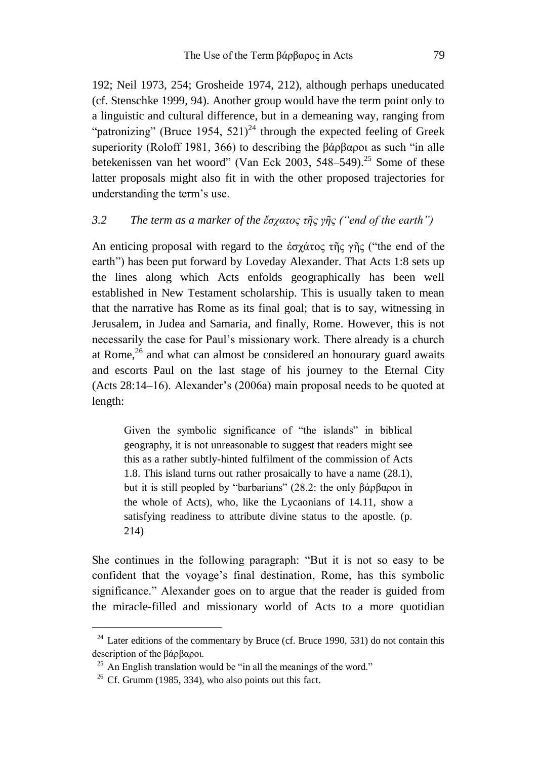192; Neil 1973, 254; Grosheide 1974, 212), although perhaps uneducated (cf. Stenschke 1999, 94). Another group would have the term point only to a linguistic and cultural difference, but in a demeaning way, ranging from "patronizing" (Bruce 1954,  $521$ )<sup>24</sup> through the expected feeling of Greek superiority (Roloff 1981, 366) to describing the βάρβαροι as such "in alle betekenissen van het woord" (Van Eck 2003, 548–549).<sup>25</sup> Some of these latter proposals might also fit in with the other proposed trajectories for understanding the term's use.

## *3.2 The term as a marker of the ἔσχατος τῆς γῆς ("end of the earth")*

An enticing proposal with regard to the ἐσχάτος τῆς γῆς ("the end of the earth") has been put forward by Loveday Alexander. That Acts 1:8 sets up the lines along which Acts enfolds geographically has been well established in New Testament scholarship. This is usually taken to mean that the narrative has Rome as its final goal; that is to say, witnessing in Jerusalem, in Judea and Samaria, and finally, Rome. However, this is not necessarily the case for Paul's missionary work. There already is a church at Rome, $26$  and what can almost be considered an honourary guard awaits and escorts Paul on the last stage of his journey to the Eternal City (Acts 28:14–16). Alexander's (2006a) main proposal needs to be quoted at length:

Given the symbolic significance of "the islands" in biblical geography, it is not unreasonable to suggest that readers might see this as a rather subtly-hinted fulfilment of the commission of Acts 1.8. This island turns out rather prosaically to have a name (28.1), but it is still peopled by "barbarians" (28.2: the only βάρβαροι in the whole of Acts), who, like the Lycaonians of 14.11, show a satisfying readiness to attribute divine status to the apostle. (p. 214)

She continues in the following paragraph: "But it is not so easy to be confident that the voyage's final destination, Rome, has this symbolic significance." Alexander goes on to argue that the reader is guided from the miracle-filled and missionary world of Acts to a more quotidian

1

 $24$  Later editions of the commentary by Bruce (cf. Bruce 1990, 531) do not contain this description of the βάρβαροι.

 $25$  An English translation would be "in all the meanings of the word."

 $26$  Cf. Grumm (1985, 334), who also points out this fact.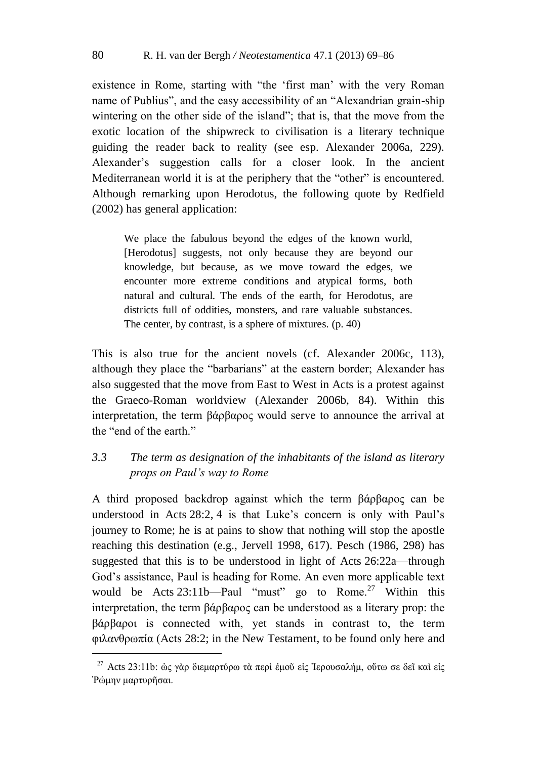existence in Rome, starting with "the 'first man' with the very Roman name of Publius", and the easy accessibility of an "Alexandrian grain-ship wintering on the other side of the island"; that is, that the move from the exotic location of the shipwreck to civilisation is a literary technique guiding the reader back to reality (see esp. Alexander 2006a, 229). Alexander's suggestion calls for a closer look. In the ancient Mediterranean world it is at the periphery that the "other" is encountered. Although remarking upon Herodotus, the following quote by Redfield (2002) has general application:

We place the fabulous beyond the edges of the known world, [Herodotus] suggests, not only because they are beyond our knowledge, but because, as we move toward the edges, we encounter more extreme conditions and atypical forms, both natural and cultural. The ends of the earth, for Herodotus, are districts full of oddities, monsters, and rare valuable substances. The center, by contrast, is a sphere of mixtures. (p. 40)

This is also true for the ancient novels (cf. Alexander 2006c, 113), although they place the "barbarians" at the eastern border; Alexander has also suggested that the move from East to West in Acts is a protest against the Graeco-Roman worldview (Alexander 2006b, 84). Within this interpretation, the term βάρβαρος would serve to announce the arrival at the "end of the earth."

## *3.3 The term as designation of the inhabitants of the island as literary props on Paul's way to Rome*

A third proposed backdrop against which the term βάρβαρος can be understood in Acts 28:2, 4 is that Luke's concern is only with Paul's journey to Rome; he is at pains to show that nothing will stop the apostle reaching this destination (e.g., Jervell 1998, 617). Pesch (1986, 298) has suggested that this is to be understood in light of Acts 26:22a—through God's assistance, Paul is heading for Rome. An even more applicable text would be Acts  $23:11b$ —Paul "must" go to Rome.<sup>27</sup> Within this interpretation, the term βάρβαρος can be understood as a literary prop: the βάρβαροι is connected with, yet stands in contrast to, the term φιλανθρωπία (Acts 28:2; in the New Testament, to be found only here and

<sup>&</sup>lt;sup>27</sup> Acts 23:11b: ώς γὰρ διεμαρτύρω τὰ περὶ ἐμοῦ εἰς Ἰερουσαλήμ, οὕτω σε δεῖ καὶ εἰς Ῥώμην μαρτυρῆσαι.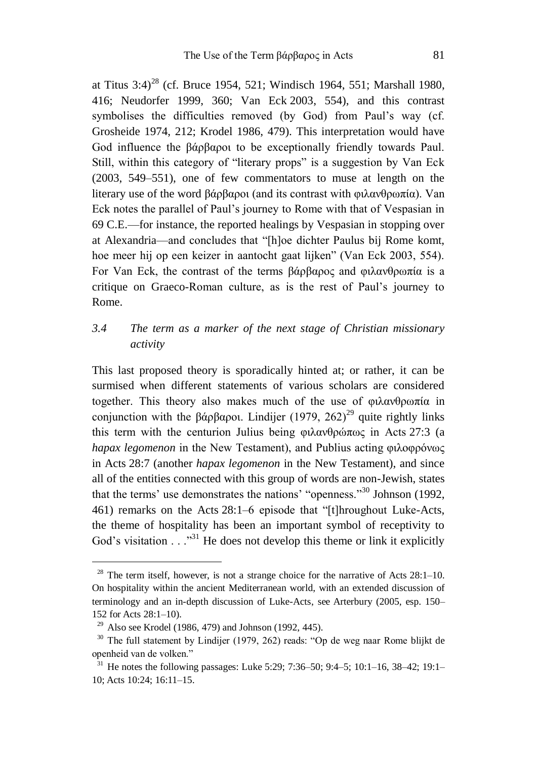at Titus  $3:4$ <sup>28</sup> (cf. Bruce 1954, 521; Windisch 1964, 551; Marshall 1980, 416; Neudorfer 1999, 360; Van Eck 2003, 554), and this contrast symbolises the difficulties removed (by God) from Paul's way (cf. Grosheide 1974, 212; Krodel 1986, 479). This interpretation would have God influence the βάρβαροι to be exceptionally friendly towards Paul. Still, within this category of "literary props" is a suggestion by Van Eck (2003, 549–551), one of few commentators to muse at length on the literary use of the word βάρβαροι (and its contrast with φιλανθρωπία). Van Eck notes the parallel of Paul's journey to Rome with that of Vespasian in 69 C.E.—for instance, the reported healings by Vespasian in stopping over at Alexandria—and concludes that "[h]oe dichter Paulus bij Rome komt, hoe meer hij op een keizer in aantocht gaat lijken" (Van Eck 2003, 554). For Van Eck, the contrast of the terms βάρβαρος and φιλανθρωπία is a critique on Graeco-Roman culture, as is the rest of Paul's journey to Rome.

## *3.4 The term as a marker of the next stage of Christian missionary activity*

This last proposed theory is sporadically hinted at; or rather, it can be surmised when different statements of various scholars are considered together. This theory also makes much of the use of φιλανθρωπία in conjunction with the βάρβαροι. Lindijer (1979, 262)<sup>29</sup> quite rightly links this term with the centurion Julius being φιλανθρώπως in Acts 27:3 (a *hapax legomenon* in the New Testament), and Publius acting φιλοφρόνως in Acts 28:7 (another *hapax legomenon* in the New Testament), and since all of the entities connected with this group of words are non-Jewish, states that the terms' use demonstrates the nations' "openness."<sup>30</sup> Johnson (1992, 461) remarks on the Acts 28:1–6 episode that "[t]hroughout Luke-Acts, the theme of hospitality has been an important symbol of receptivity to God's visitation  $\ldots$ <sup>31</sup>. He does not develop this theme or link it explicitly

1

<sup>&</sup>lt;sup>28</sup> The term itself, however, is not a strange choice for the narrative of Acts  $28:1-10$ . On hospitality within the ancient Mediterranean world, with an extended discussion of terminology and an in-depth discussion of Luke-Acts, see Arterbury (2005, esp. 150– 152 for Acts 28:1–10).

<sup>&</sup>lt;sup>29</sup> Also see Krodel (1986, 479) and Johnson (1992, 445).

 $30$  The full statement by Lindijer (1979, 262) reads: "Op de weg naar Rome blijkt de openheid van de volken."

<sup>&</sup>lt;sup>31</sup> He notes the following passages: Luke 5:29; 7:36–50; 9:4–5; 10:1–16, 38–42; 19:1– 10; Acts 10:24; 16:11–15.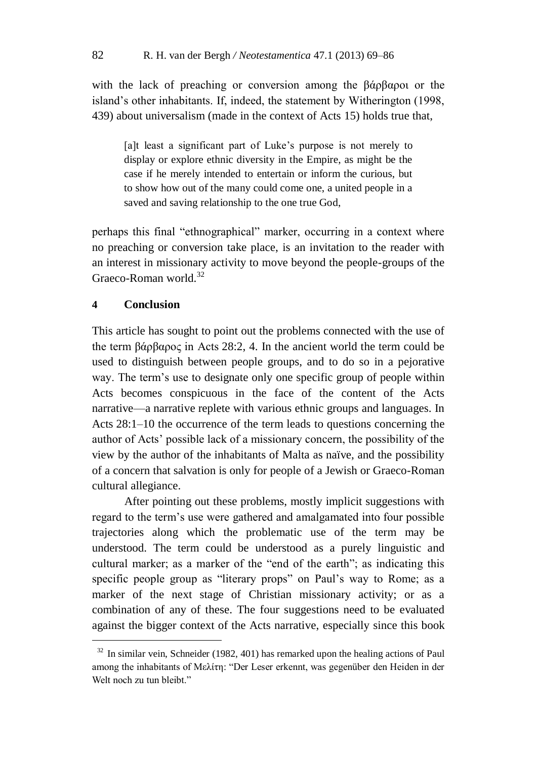with the lack of preaching or conversion among the βάρβαροι or the island's other inhabitants. If, indeed, the statement by Witherington (1998, 439) about universalism (made in the context of Acts 15) holds true that,

[a]t least a significant part of Luke's purpose is not merely to display or explore ethnic diversity in the Empire, as might be the case if he merely intended to entertain or inform the curious, but to show how out of the many could come one, a united people in a saved and saving relationship to the one true God,

perhaps this final "ethnographical" marker, occurring in a context where no preaching or conversion take place, is an invitation to the reader with an interest in missionary activity to move beyond the people-groups of the Graeco-Roman world.<sup>32</sup>

## **4 Conclusion**

1

This article has sought to point out the problems connected with the use of the term βάρβαρος in Acts 28:2, 4. In the ancient world the term could be used to distinguish between people groups, and to do so in a pejorative way. The term's use to designate only one specific group of people within Acts becomes conspicuous in the face of the content of the Acts narrative—a narrative replete with various ethnic groups and languages. In Acts 28:1–10 the occurrence of the term leads to questions concerning the author of Acts' possible lack of a missionary concern, the possibility of the view by the author of the inhabitants of Malta as naïve, and the possibility of a concern that salvation is only for people of a Jewish or Graeco-Roman cultural allegiance.

After pointing out these problems, mostly implicit suggestions with regard to the term's use were gathered and amalgamated into four possible trajectories along which the problematic use of the term may be understood. The term could be understood as a purely linguistic and cultural marker; as a marker of the "end of the earth"; as indicating this specific people group as "literary props" on Paul's way to Rome; as a marker of the next stage of Christian missionary activity; or as a combination of any of these. The four suggestions need to be evaluated against the bigger context of the Acts narrative, especially since this book

 $32$  In similar vein, Schneider (1982, 401) has remarked upon the healing actions of Paul among the inhabitants of Μελίτη: "Der Leser erkennt, was gegenüber den Heiden in der Welt noch zu tun bleibt."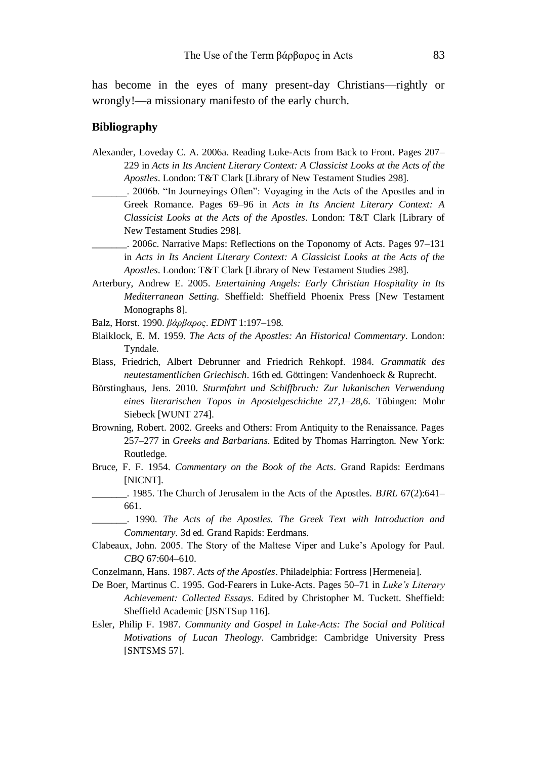has become in the eyes of many present-day Christians—rightly or wrongly!—a missionary manifesto of the early church.

#### **Bibliography**

- Alexander, Loveday C. A. 2006a. Reading Luke-Acts from Back to Front. Pages 207– 229 in *Acts in Its Ancient Literary Context: A Classicist Looks at the Acts of the Apostles*. London: T&T Clark [Library of New Testament Studies 298].
	- \_\_\_\_\_\_\_. 2006b. "In Journeyings Often": Voyaging in the Acts of the Apostles and in Greek Romance. Pages 69–96 in *Acts in Its Ancient Literary Context: A Classicist Looks at the Acts of the Apostles*. London: T&T Clark [Library of New Testament Studies 298].
	- \_\_\_\_\_\_\_. 2006c. Narrative Maps: Reflections on the Toponomy of Acts. Pages 97–131 in *Acts in Its Ancient Literary Context: A Classicist Looks at the Acts of the Apostles*. London: T&T Clark [Library of New Testament Studies 298].
- Arterbury, Andrew E. 2005. *Entertaining Angels: Early Christian Hospitality in Its Mediterranean Setting*. Sheffield: Sheffield Phoenix Press [New Testament Monographs 8].
- Balz, Horst. 1990. *βάρβαρος*. *EDNT* 1:197–198.
- Blaiklock, E. M. 1959. *The Acts of the Apostles: An Historical Commentary*. London: Tyndale.
- Blass, Friedrich, Albert Debrunner and Friedrich Rehkopf. 1984. *Grammatik des neutestamentlichen Griechisch*. 16th ed. Göttingen: Vandenhoeck & Ruprecht.
- Börstinghaus, Jens. 2010. *Sturmfahrt und Schiffbruch: Zur lukanischen Verwendung eines literarischen Topos in Apostelgeschichte 27,1–28,6*. Tübingen: Mohr Siebeck [WUNT 274].
- Browning, Robert. 2002. Greeks and Others: From Antiquity to the Renaissance. Pages 257–277 in *Greeks and Barbarians*. Edited by Thomas Harrington. New York: Routledge.
- Bruce, F. F. 1954. *Commentary on the Book of the Acts*. Grand Rapids: Eerdmans [NICNT].
- \_\_\_\_\_\_\_. 1985. The Church of Jerusalem in the Acts of the Apostles. *BJRL* 67(2):641– 661.
- \_\_\_\_\_\_\_. 1990. *The Acts of the Apostles. The Greek Text with Introduction and Commentary*. 3d ed. Grand Rapids: Eerdmans*.*
- Clabeaux, John. 2005. The Story of the Maltese Viper and Luke's Apology for Paul. *CBQ* 67:604–610.
- Conzelmann, Hans. 1987. *Acts of the Apostles*. Philadelphia: Fortress [Hermeneia].
- De Boer, Martinus C. 1995. God-Fearers in Luke-Acts. Pages 50–71 in *Luke's Literary Achievement: Collected Essays*. Edited by Christopher M. Tuckett. Sheffield: Sheffield Academic [JSNTSup 116].
- Esler, Philip F. 1987. *Community and Gospel in Luke-Acts: The Social and Political Motivations of Lucan Theology*. Cambridge: Cambridge University Press [SNTSMS 57].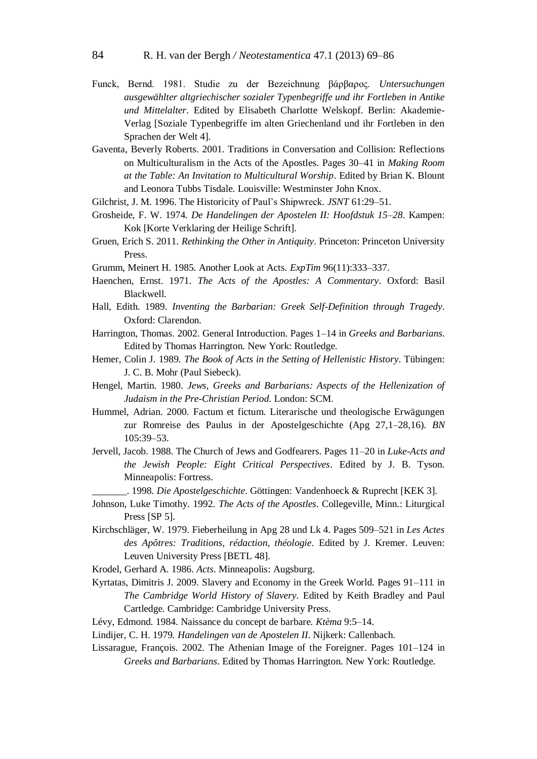- Funck, Bernd. 1981. Studie zu der Bezeichnung βάρβαρος. *Untersuchungen ausgewählter altgriechischer sozialer Typenbegriffe und ihr Fortleben in Antike und Mittelalter*. Edited by Elisabeth Charlotte Welskopf. Berlin: Akademie-Verlag [Soziale Typenbegriffe im alten Griechenland und ihr Fortleben in den Sprachen der Welt 4].
- Gaventa, Beverly Roberts. 2001. Traditions in Conversation and Collision: Reflections on Multiculturalism in the Acts of the Apostles. Pages 30–41 in *Making Room at the Table: An Invitation to Multicultural Worship*. Edited by Brian K. Blount and Leonora Tubbs Tisdale. Louisville: Westminster John Knox.
- Gilchrist, J. M. 1996. The Historicity of Paul's Shipwreck. *JSNT* 61:29–51.
- Grosheide, F. W. 1974. *De Handelingen der Apostelen II: Hoofdstuk 15–28*. Kampen: Kok [Korte Verklaring der Heilige Schrift].
- Gruen, Erich S. 2011. *Rethinking the Other in Antiquity*. Princeton: Princeton University Press.
- Grumm, Meinert H. 1985. Another Look at Acts. *ExpTim* 96(11):333–337.
- Haenchen, Ernst. 1971. *The Acts of the Apostles: A Commentary*. Oxford: Basil Blackwell.
- Hall, Edith. 1989. *Inventing the Barbarian: Greek Self-Definition through Tragedy*. Oxford: Clarendon.
- Harrington, Thomas. 2002. General Introduction. Pages 1–14 in *Greeks and Barbarians*. Edited by Thomas Harrington. New York: Routledge.
- Hemer, Colin J. 1989. *The Book of Acts in the Setting of Hellenistic History*. Tübingen: J. C. B. Mohr (Paul Siebeck).
- Hengel, Martin. 1980. *Jews, Greeks and Barbarians: Aspects of the Hellenization of Judaism in the Pre-Christian Period*. London: SCM.
- Hummel, Adrian. 2000. Factum et fictum. Literarische und theologische Erwägungen zur Romreise des Paulus in der Apostelgeschichte (Apg 27,1–28,16). *BN* 105:39–53.
- Jervell, Jacob. 1988. The Church of Jews and Godfearers. Pages 11–20 in *Luke-Acts and the Jewish People: Eight Critical Perspectives*. Edited by J. B. Tyson. Minneapolis: Fortress.
- \_\_\_\_\_\_\_. 1998. *Die Apostelgeschichte*. Göttingen: Vandenhoeck & Ruprecht [KEK 3].
- Johnson, Luke Timothy. 1992. *The Acts of the Apostles*. Collegeville, Minn.: Liturgical Press [SP 5].
- Kirchschläger, W. 1979. Fieberheilung in Apg 28 und Lk 4. Pages 509–521 in *Les Actes des Apôtres: Traditions, rédaction, théologie*. Edited by J. Kremer. Leuven: Leuven University Press [BETL 48].
- Krodel, Gerhard A. 1986. *Acts*. Minneapolis: Augsburg.
- Kyrtatas, Dimitris J. 2009. Slavery and Economy in the Greek World. Pages 91–111 in *The Cambridge World History of Slavery*. Edited by Keith Bradley and Paul Cartledge. Cambridge: Cambridge University Press.
- Lévy, Edmond. 1984. Naissance du concept de barbare. *Ktèma* 9:5–14.
- Lindijer, C. H. 1979. *Handelingen van de Apostelen II*. Nijkerk: Callenbach.
- Lissarague, François. 2002. The Athenian Image of the Foreigner. Pages 101–124 in *Greeks and Barbarians*. Edited by Thomas Harrington. New York: Routledge.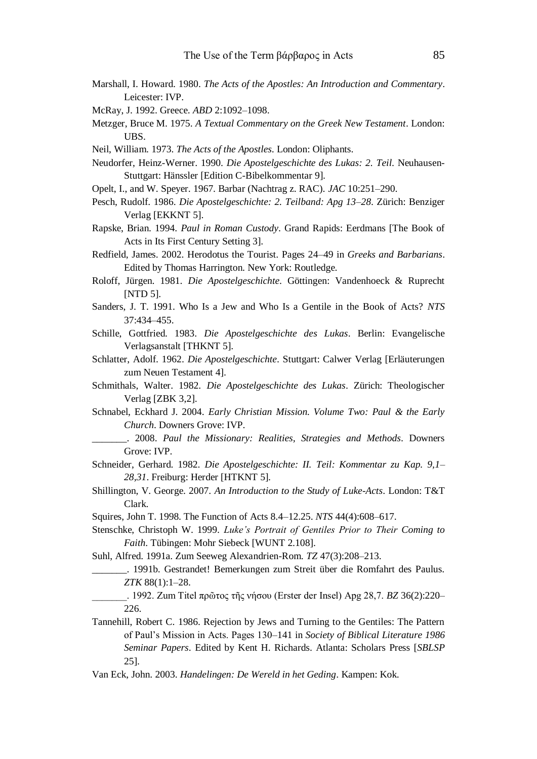- Marshall, I. Howard. 1980. *The Acts of the Apostles: An Introduction and Commentary*. Leicester: IVP.
- McRay, J. 1992. Greece. *ABD* 2:1092–1098.
- Metzger, Bruce M. 1975. *A Textual Commentary on the Greek New Testament*. London: UBS.
- Neil, William. 1973. *The Acts of the Apostles*. London: Oliphants.
- Neudorfer, Heinz-Werner. 1990. *Die Apostelgeschichte des Lukas: 2. Teil*. Neuhausen-Stuttgart: Hänssler [Edition C-Bibelkommentar 9].
- Opelt, I., and W. Speyer. 1967. Barbar (Nachtrag z. RAC). *JAC* 10:251–290.
- Pesch, Rudolf. 1986. *Die Apostelgeschichte: 2. Teilband: Apg 13–28*. Zürich: Benziger Verlag [EKKNT 5].
- Rapske, Brian. 1994. *Paul in Roman Custody*. Grand Rapids: Eerdmans [The Book of Acts in Its First Century Setting 3].
- Redfield, James. 2002. Herodotus the Tourist. Pages 24–49 in *Greeks and Barbarians*. Edited by Thomas Harrington. New York: Routledge.
- Roloff, Jürgen. 1981. *Die Apostelgeschichte*. Göttingen: Vandenhoeck & Ruprecht [NTD 5].
- Sanders, J. T. 1991. Who Is a Jew and Who Is a Gentile in the Book of Acts? *NTS* 37:434–455.
- Schille, Gottfried. 1983. *Die Apostelgeschichte des Lukas*. Berlin: Evangelische Verlagsanstalt [THKNT 5].
- Schlatter, Adolf. 1962. *Die Apostelgeschichte*. Stuttgart: Calwer Verlag [Erläuterungen zum Neuen Testament 4].
- Schmithals, Walter. 1982. *Die Apostelgeschichte des Lukas*. Zürich: Theologischer Verlag [ZBK 3,2].
- Schnabel, Eckhard J. 2004. *Early Christian Mission. Volume Two: Paul & the Early Church*. Downers Grove: IVP.
	- \_\_\_\_\_\_\_. 2008. *Paul the Missionary: Realities, Strategies and Methods*. Downers Grove: IVP.
- Schneider, Gerhard. 1982. *Die Apostelgeschichte: II. Teil: Kommentar zu Kap. 9,1– 28,31*. Freiburg: Herder [HTKNT 5].
- Shillington, V. George. 2007. *An Introduction to the Study of Luke-Acts*. London: T&T Clark.
- Squires, John T. 1998. The Function of Acts 8.4–12.25. *NTS* 44(4):608–617.
- Stenschke, Christoph W. 1999. *Luke's Portrait of Gentiles Prior to Their Coming to Faith*. Tübingen: Mohr Siebeck [WUNT 2.108].
- Suhl, Alfred. 1991a. Zum Seeweg Alexandrien-Rom. *TZ* 47(3):208–213.
	- \_\_\_\_\_\_\_. 1991b. Gestrandet! Bemerkungen zum Streit über die Romfahrt des Paulus. *ZTK* 88(1):1–28.
	- \_\_\_\_\_\_\_. 1992. Zum Titel πρῶτος τῆς νήσου (Erster der Insel) Apg 28,7. *BZ* 36(2):220– 226.
- Tannehill, Robert C. 1986. Rejection by Jews and Turning to the Gentiles: The Pattern of Paul's Mission in Acts. Pages 130–141 in *Society of Biblical Literature 1986 Seminar Papers*. Edited by Kent H. Richards. Atlanta: Scholars Press [*SBLSP*  25].
- Van Eck, John. 2003. *Handelingen: De Wereld in het Geding*. Kampen: Kok.